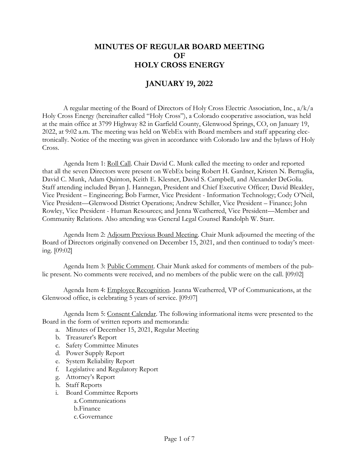## **MINUTES OF REGULAR BOARD MEETING OF HOLY CROSS ENERGY**

## **JANUARY 19, 2022**

A regular meeting of the Board of Directors of Holy Cross Electric Association, Inc., a/k/a Holy Cross Energy (hereinafter called "Holy Cross"), a Colorado cooperative association, was held at the main office at 3799 Highway 82 in Garfield County, Glenwood Springs, CO, on January 19, 2022, at 9:02 a.m. The meeting was held on WebEx with Board members and staff appearing electronically. Notice of the meeting was given in accordance with Colorado law and the bylaws of Holy Cross.

Agenda Item 1: Roll Call. Chair David C. Munk called the meeting to order and reported that all the seven Directors were present on WebEx being Robert H. Gardner, Kristen N. Bertuglia, David C. Munk, Adam Quinton, Keith E. Klesner, David S. Campbell, and Alexander DeGolia. Staff attending included Bryan J. Hannegan, President and Chief Executive Officer; David Bleakley, Vice President – Engineering; Bob Farmer, Vice President - Information Technology; Cody O'Neil, Vice President—Glenwood District Operations; Andrew Schiller, Vice President – Finance; John Rowley, Vice President - Human Resources; and Jenna Weatherred, Vice President—Member and Community Relations. Also attending was General Legal Counsel Randolph W. Starr.

Agenda Item 2: Adjourn Previous Board Meeting. Chair Munk adjourned the meeting of the Board of Directors originally convened on December 15, 2021, and then continued to today's meeting. [09:02]

Agenda Item 3: Public Comment. Chair Munk asked for comments of members of the public present. No comments were received, and no members of the public were on the call. [09:02]

Agenda Item 4: Employee Recognition. Jeanna Weatherred, VP of Communications, at the Glenwood office, is celebrating 5 years of service. [09:07]

Agenda Item 5: Consent Calendar. The following informational items were presented to the Board in the form of written reports and memoranda:

- a. Minutes of December 15, 2021, Regular Meeting
- b. Treasurer's Report
- c. Safety Committee Minutes
- d. Power Supply Report
- e. System Reliability Report
- f. Legislative and Regulatory Report
- g. Attorney's Report
- h. Staff Reports
- i. Board Committee Reports
	- a.Communications
	- b.Finance
	- c.Governance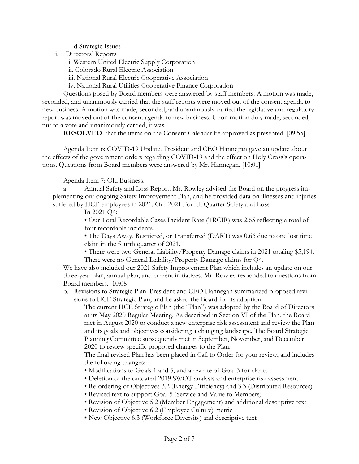d.Strategic Issues

i. Directors' Reports

i. Western United Electric Supply Corporation

- ii. Colorado Rural Electric Association
- iii. National Rural Electric Cooperative Association
- iv. National Rural Utilities Cooperative Finance Corporation

Questions posed by Board members were answered by staff members. A motion was made, seconded, and unanimously carried that the staff reports were moved out of the consent agenda to new business. A motion was made, seconded, and unanimously carried the legislative and regulatory report was moved out of the consent agenda to new business. Upon motion duly made, seconded, put to a vote and unanimously carried, it was

**RESOLVED**, that the items on the Consent Calendar be approved as presented. [09:55]

Agenda Item 6: COVID-19 Update. President and CEO Hannegan gave an update about the effects of the government orders regarding COVID-19 and the effect on Holy Cross's operations. Questions from Board members were answered by Mr. Hannegan. [10:01]

Agenda Item 7: Old Business.

a. Annual Safety and Loss Report. Mr. Rowley advised the Board on the progress implementing our ongoing Safety Improvement Plan, and he provided data on illnesses and injuries suffered by HCE employees in 2021. Our 2021 Fourth Quarter Safety and Loss.

In 2021 Q4:

• Our Total Recordable Cases Incident Rate (TRCIR) was 2.65 reflecting a total of four recordable incidents.

• The Days Away, Restricted, or Transferred (DART) was 0.66 due to one lost time claim in the fourth quarter of 2021.

• There were two General Liability/Property Damage claims in 2021 totaling \$5,194. There were no General Liability/Property Damage claims for Q4.

We have also included our 2021 Safety Improvement Plan which includes an update on our three-year plan, annual plan, and current initiatives. Mr. Rowley responded to questions from Board members. [10:08]

b. Revisions to Strategic Plan. President and CEO Hannegan summarized proposed revisions to HCE Strategic Plan, and he asked the Board for its adoption.

The current HCE Strategic Plan (the "Plan") was adopted by the Board of Directors at its May 2020 Regular Meeting. As described in Section VI of the Plan, the Board met in August 2020 to conduct a new enterprise risk assessment and review the Plan and its goals and objectives considering a changing landscape. The Board Strategic Planning Committee subsequently met in September, November, and December 2020 to review specific proposed changes to the Plan.

The final revised Plan has been placed in Call to Order for your review, and includes the following changes:

- Modifications to Goals 1 and 5, and a rewrite of Goal 3 for clarity
- Deletion of the outdated 2019 SWOT analysis and enterprise risk assessment
- Re-ordering of Objectives 3.2 (Energy Efficiency) and 3.3 (Distributed Resources)
- Revised text to support Goal 5 (Service and Value to Members)
- Revision of Objective 5.2 (Member Engagement) and additional descriptive text
- Revision of Objective 6.2 (Employee Culture) metric
- New Objective 6.3 (Workforce Diversity) and descriptive text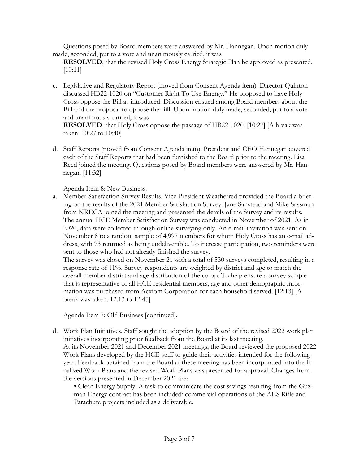Questions posed by Board members were answered by Mr. Hannegan. Upon motion duly made, seconded, put to a vote and unanimously carried, it was

**RESOLVED**, that the revised Holy Cross Energy Strategic Plan be approved as presented. [10:11]

c. Legislative and Regulatory Report (moved from Consent Agenda item): Director Quinton discussed HB22-1020 on "Customer Right To Use Energy." He proposed to have Holy Cross oppose the Bill as introduced. Discussion ensued among Board members about the Bill and the proposal to oppose the Bill. Upon motion duly made, seconded, put to a vote and unanimously carried, it was

**RESOLVED**, that Holy Cross oppose the passage of HB22-1020. [10:27] [A break was taken. 10:27 to 10:40]

d. Staff Reports (moved from Consent Agenda item): President and CEO Hannegan covered each of the Staff Reports that had been furnished to the Board prior to the meeting. Lisa Reed joined the meeting. Questions posed by Board members were answered by Mr. Hannegan. [11:32]

Agenda Item 8: New Business.

a. Member Satisfaction Survey Results. Vice President Weatherred provided the Board a briefing on the results of the 2021 Member Satisfaction Survey. Jane Sanstead and Mike Sassman from NRECA joined the meeting and presented the details of the Survey and its results. The annual HCE Member Satisfaction Survey was conducted in November of 2021. As in 2020, data were collected through online surveying only. An e-mail invitation was sent on November 8 to a random sample of 4,997 members for whom Holy Cross has an e-mail address, with 73 returned as being undeliverable. To increase participation, two reminders were sent to those who had not already finished the survey.

The survey was closed on November 21 with a total of 530 surveys completed, resulting in a response rate of 11%. Survey respondents are weighted by district and age to match the overall member district and age distribution of the co-op. To help ensure a survey sample that is representative of all HCE residential members, age and other demographic information was purchased from Acxiom Corporation for each household served. [12:13] [A break was taken. 12:13 to 12:45]

Agenda Item 7: Old Business [continued].

d. Work Plan Initiatives. Staff sought the adoption by the Board of the revised 2022 work plan initiatives incorporating prior feedback from the Board at its last meeting. At its November 2021 and December 2021 meetings, the Board reviewed the proposed 2022 Work Plans developed by the HCE staff to guide their activities intended for the following year. Feedback obtained from the Board at these meeting has been incorporated into the finalized Work Plans and the revised Work Plans was presented for approval. Changes from the versions presented in December 2021 are:

• Clean Energy Supply: A task to communicate the cost savings resulting from the Guzman Energy contract has been included; commercial operations of the AES Rifle and Parachute projects included as a deliverable.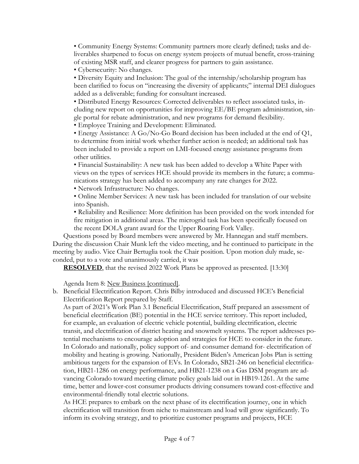• Community Energy Systems: Community partners more clearly defined; tasks and deliverables sharpened to focus on energy system projects of mutual benefit, cross-training of existing MSR staff, and clearer progress for partners to gain assistance.

• Cybersecurity: No changes.

• Diversity Equity and Inclusion: The goal of the internship/scholarship program has been clarified to focus on "increasing the diversity of applicants;" internal DEI dialogues added as a deliverable; funding for consultant increased.

• Distributed Energy Resources: Corrected deliverables to reflect associated tasks, including new report on opportunities for improving EE/BE program administration, single portal for rebate administration, and new programs for demand flexibility.

• Employee Training and Development: Eliminated.

• Energy Assistance: A Go/No-Go Board decision has been included at the end of Q1, to determine from initial work whether further action is needed; an additional task has been included to provide a report on LMI-focused energy assistance programs from other utilities.

• Financial Sustainability: A new task has been added to develop a White Paper with views on the types of services HCE should provide its members in the future; a communications strategy has been added to accompany any rate changes for 2022.

• Network Infrastructure: No changes.

• Online Member Services: A new task has been included for translation of our website into Spanish.

• Reliability and Resilience: More definition has been provided on the work intended for fire mitigation in additional areas. The microgrid task has been specifically focused on the recent DOLA grant award for the Upper Roaring Fork Valley.

Questions posed by Board members were answered by Mr. Hannegan and staff members. During the discussion Chair Munk left the video meeting, and he continued to participate in the meeting by audio. Vice Chair Bertuglia took the Chair position. Upon motion duly made, seconded, put to a vote and unanimously carried, it was

**RESOLVED**, that the revised 2022 Work Plans be approved as presented. [13:30]

Agenda Item 8: New Business [continued].

b. Beneficial Electrification Report. Chris Bilby introduced and discussed HCE's Beneficial Electrification Report prepared by Staff.

As part of 2021's Work Plan 3.1 Beneficial Electrification, Staff prepared an assessment of beneficial electrification (BE) potential in the HCE service territory. This report included, for example, an evaluation of electric vehicle potential, building electrification, electric transit, and electrification of district heating and snowmelt systems. The report addresses potential mechanisms to encourage adoption and strategies for HCE to consider in the future. In Colorado and nationally, policy support of- and consumer demand for- electrification of mobility and heating is growing. Nationally, President Biden's American Jobs Plan is setting ambitious targets for the expansion of EVs. In Colorado, SB21-246 on beneficial electrification, HB21-1286 on energy performance, and HB21-1238 on a Gas DSM program are advancing Colorado toward meeting climate policy goals laid out in HB19-1261. At the same time, better and lower-cost consumer products driving consumers toward cost-effective and environmental-friendly total electric solutions.

As HCE prepares to embark on the next phase of its electrification journey, one in which electrification will transition from niche to mainstream and load will grow significantly. To inform its evolving strategy, and to prioritize customer programs and projects, HCE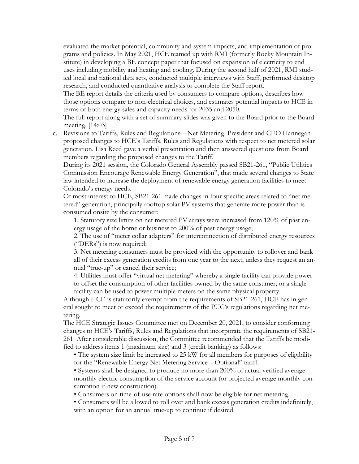evaluated the market potential, community and system impacts, and implementation of programs and policies. In May 2021, HCE teamed up with RMI (formerly Rocky Mountain Institute) in developing a BE concept paper that focused on expansion of electricity to end uses including mobility and heating and cooling. During the second half of 2021, RMI studied local and national data sets, conducted multiple interviews with Staff, performed desktop research, and conducted quantitative analysis to complete the Staff report.

The BE report details the criteria used by consumers to compare options, describes how those options compare to non-electrical choices, and estimates potential impacts to HCE in terms of both energy sales and capacity needs for 2035 and 2050.

The full report along with a set of summary slides was given to the Board prior to the Board meeting. [14:03]

c. Revisions to Tariffs, Rules and Regulations—Net Metering. President and CEO Hannegan proposed changes to HCE's Tariffs, Rules and Regulations with respect to net metered solar generation. Lisa Reed gave a verbal presentation and then answered questions from Board members regarding the proposed changes to the Tariff.

During its 2021 session, the Colorado General Assembly passed SB21-261, "Public Utilities Commission Encourage Renewable Energy Generation", that made several changes to State law intended to increase the deployment of renewable energy generation facilities to meet Colorado's energy needs.

Of most interest to HCE, SB21-261 made changes in four specific areas related to "net metered" generation, principally rooftop solar PV systems that generate more power than is consumed onsite by the consumer:

1. Statutory size limits on net metered PV arrays were increased from 120% of past energy usage of the home or business to 200% of past energy usage;

2. The use of "meter collar adapters" for interconnection of distributed energy resources ("DERs") is now required;

3. Net metering consumers must be provided with the opportunity to rollover and bank all of their excess generation credits from one year to the next, unless they request an annual "true-up" or cancel their service;

4. Utilities must offer "virtual net metering" whereby a single facility can provide power to offset the consumption of other facilities owned by the same consumer; or a single facility can be used to power multiple meters on the same physical property.

Although HCE is statutorily exempt from the requirements of SB21-261, HCE has in general sought to meet or exceed the requirements of the PUC's regulations regarding net metering.

The HCE Strategic Issues Committee met on December 20, 2021, to consider conforming changes to HCE's Tariffs, Rules and Regulations that incorporate the requirements of SB21- 261. After considerable discussion, the Committee recommended that the Tariffs be modified to address items 1 (maximum size) and 3 (credit banking) as follows:

• The system size limit be increased to 25 kW for all members for purposes of eligibility for the "Renewable Energy Net Metering Service – Optional" tariff.

• Systems shall be designed to produce no more than 200% of actual verified average monthly electric consumption of the service account (or projected average monthly consumption if new construction).

• Consumers on time-of-use rate options shall now be eligible for net metering.

• Consumers will be allowed to roll over and bank excess generation credits indefinitely, with an option for an annual true-up to continue if desired.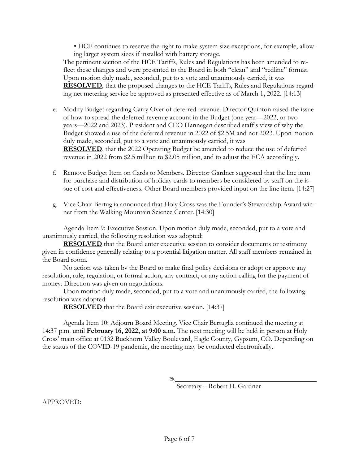• HCE continues to reserve the right to make system size exceptions, for example, allowing larger system sizes if installed with battery storage.

The pertinent section of the HCE Tariffs, Rules and Regulations has been amended to reflect these changes and were presented to the Board in both "clean" and "redline" format. Upon motion duly made, seconded, put to a vote and unanimously carried, it was **RESOLVED**, that the proposed changes to the HCE Tariffs, Rules and Regulations regarding net metering service be approved as presented effective as of March 1, 2022. [14:13]

- e. Modify Budget regarding Carry Over of deferred revenue. Director Quinton raised the issue of how to spread the deferred revenue account in the Budget (one year—2022, or two years—2022 and 2023). President and CEO Hannegan described staff's view of why the Budget showed a use of the deferred revenue in 2022 of \$2.5M and not 2023. Upon motion duly made, seconded, put to a vote and unanimously carried, it was **RESOLVED**, that the 2022 Operating Budget be amended to reduce the use of deferred revenue in 2022 from \$2.5 million to \$2.05 million, and to adjust the ECA accordingly.
- f. Remove Budget Item on Cards to Members. Director Gardner suggested that the line item for purchase and distribution of holiday cards to members be considered by staff on the issue of cost and effectiveness. Other Board members provided input on the line item. [14:27]
- g. Vice Chair Bertuglia announced that Holy Cross was the Founder's Stewardship Award winner from the Walking Mountain Science Center. [14:30]

Agenda Item 9: Executive Session. Upon motion duly made, seconded, put to a vote and unanimously carried, the following resolution was adopted:

**RESOLVED** that the Board enter executive session to consider documents or testimony given in confidence generally relating to a potential litigation matter. All staff members remained in the Board room.

No action was taken by the Board to make final policy decisions or adopt or approve any resolution, rule, regulation, or formal action, any contract, or any action calling for the payment of money. Direction was given on negotiations.

Upon motion duly made, seconded, put to a vote and unanimously carried, the following resolution was adopted:

**RESOLVED** that the Board exit executive session. [14:37]

Agenda Item 10: Adjourn Board Meeting. Vice Chair Bertuglia continued the meeting at 14:37 p.m. until **February 16, 2022, at 9:00 a.m**. The next meeting will be held in person at Holy Cross' main office at 0132 Buckhorn Valley Boulevard, Eagle County, Gypsum, CO. Depending on the status of the COVID-19 pandemic, the meeting may be conducted electronically.

Á

Secretary – Robert H. Gardner

APPROVED: